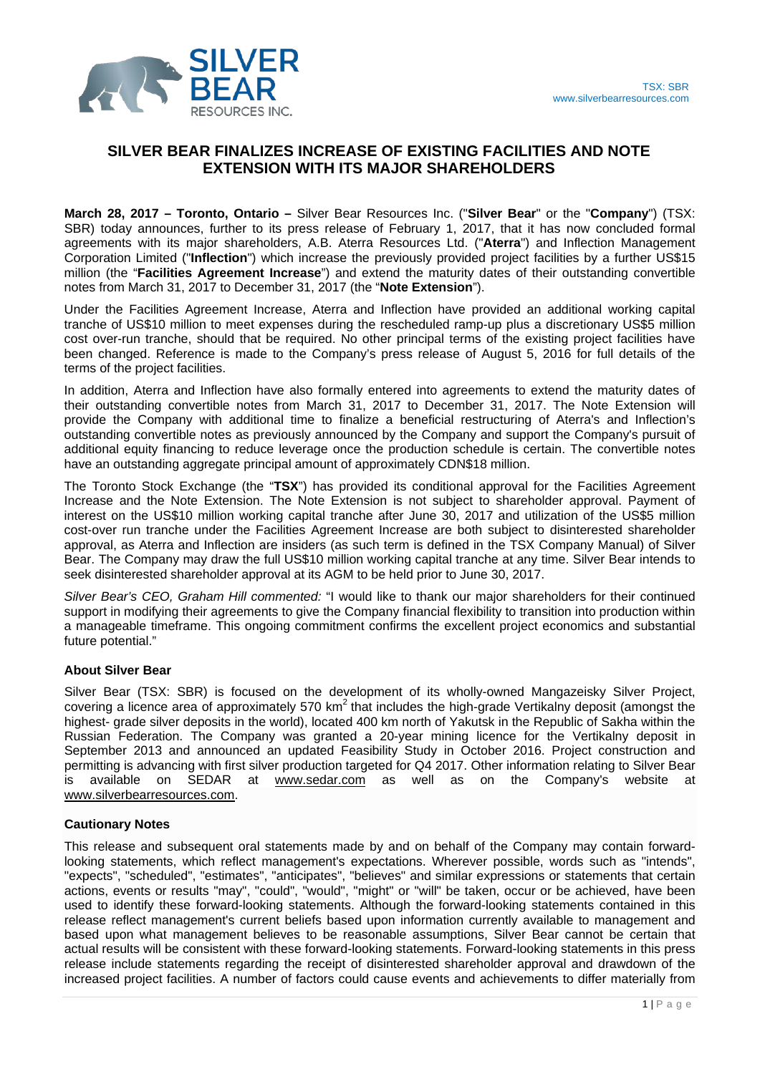

# **SILVER BEAR FINALIZES INCREASE OF EXISTING FACILITIES AND NOTE EXTENSION WITH ITS MAJOR SHAREHOLDERS**

**March 28, 2017 – Toronto, Ontario –** Silver Bear Resources Inc. ("**Silver Bear**" or the "**Company**") (TSX: SBR) today announces, further to its press release of February 1, 2017, that it has now concluded formal agreements with its major shareholders, A.B. Aterra Resources Ltd. ("**Aterra**") and Inflection Management Corporation Limited ("**Inflection**") which increase the previously provided project facilities by a further US\$15 million (the "**Facilities Agreement Increase**") and extend the maturity dates of their outstanding convertible notes from March 31, 2017 to December 31, 2017 (the "**Note Extension**").

Under the Facilities Agreement Increase, Aterra and Inflection have provided an additional working capital tranche of US\$10 million to meet expenses during the rescheduled ramp-up plus a discretionary US\$5 million cost over-run tranche, should that be required. No other principal terms of the existing project facilities have been changed. Reference is made to the Company's press release of August 5, 2016 for full details of the terms of the project facilities.

In addition, Aterra and Inflection have also formally entered into agreements to extend the maturity dates of their outstanding convertible notes from March 31, 2017 to December 31, 2017. The Note Extension will provide the Company with additional time to finalize a beneficial restructuring of Aterra's and Inflection's outstanding convertible notes as previously announced by the Company and support the Company's pursuit of additional equity financing to reduce leverage once the production schedule is certain. The convertible notes have an outstanding aggregate principal amount of approximately CDN\$18 million.

The Toronto Stock Exchange (the "**TSX**") has provided its conditional approval for the Facilities Agreement Increase and the Note Extension. The Note Extension is not subject to shareholder approval. Payment of interest on the US\$10 million working capital tranche after June 30, 2017 and utilization of the US\$5 million cost-over run tranche under the Facilities Agreement Increase are both subject to disinterested shareholder approval, as Aterra and Inflection are insiders (as such term is defined in the TSX Company Manual) of Silver Bear. The Company may draw the full US\$10 million working capital tranche at any time. Silver Bear intends to seek disinterested shareholder approval at its AGM to be held prior to June 30, 2017.

*Silver Bear's CEO, Graham Hill commented:* "I would like to thank our major shareholders for their continued support in modifying their agreements to give the Company financial flexibility to transition into production within a manageable timeframe. This ongoing commitment confirms the excellent project economics and substantial future potential."

## **About Silver Bear**

Silver Bear (TSX: SBR) is focused on the development of its wholly-owned Mangazeisky Silver Project,  $\frac{1}{2}$  covering a licence area of approximately 570 km<sup>2</sup> that includes the high-grade Vertikalny deposit (amongst the highest- grade silver deposits in the world), located 400 km north of Yakutsk in the Republic of Sakha within the Russian Federation. The Company was granted a 20-year mining licence for the Vertikalny deposit in September 2013 and announced an updated Feasibility Study in October 2016. Project construction and permitting is advancing with first silver production targeted for Q4 2017. Other information relating to Silver Bear is available on SEDAR at [www.sedar.com](http://www.sedar.com/) as well as on the Company's website at [www.silverbearresources.com.](http://www.silverbearresources.com/)

## **Cautionary Notes**

This release and subsequent oral statements made by and on behalf of the Company may contain forwardlooking statements, which reflect management's expectations. Wherever possible, words such as "intends", "expects", "scheduled", "estimates", "anticipates", "believes" and similar expressions or statements that certain actions, events or results "may", "could", "would", "might" or "will" be taken, occur or be achieved, have been used to identify these forward-looking statements. Although the forward-looking statements contained in this release reflect management's current beliefs based upon information currently available to management and based upon what management believes to be reasonable assumptions, Silver Bear cannot be certain that actual results will be consistent with these forward-looking statements. Forward-looking statements in this press release include statements regarding the receipt of disinterested shareholder approval and drawdown of the increased project facilities. A number of factors could cause events and achievements to differ materially from